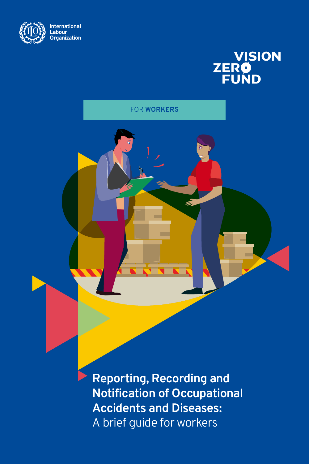

# **VISION ZERO**

FOR **WORKERS**

X **Reporting, Recording and Notification of Occupational Accidents and Diseases:**  A brief guide for workers Report of the *Reportion* A brief quide for workers a brief guide for worker.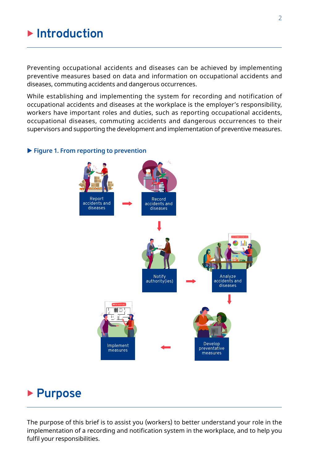# **E** Introduction

Preventing occupational accidents and diseases can be achieved by implementing preventive measures based on data and information on occupational accidents and diseases, commuting accidents and dangerous occurrences.

While establishing and implementing the system for recording and notification of occupational accidents and diseases at the workplace is the employer's responsibility, workers have important roles and duties, such as reporting occupational accidents, occupational diseases, commuting accidents and dangerous occurrences to their supervisors and supporting the development and implementation of preventive measures.

#### ▶ Figure 1. From reporting to prevention



# **Purpose**

The purpose of this brief is to assist you (workers) to better understand your role in the implementation of a recording and notification system in the workplace, and to help you fulfil your responsibilities.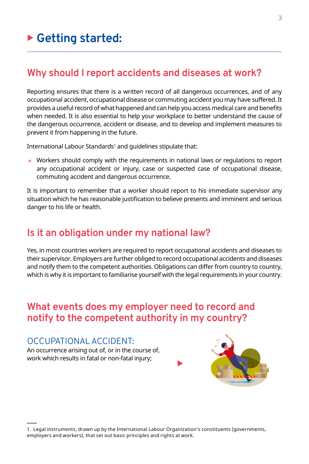# **Why should I report accidents and diseases at work?**

Reporting ensures that there is a written record of all dangerous occurrences, and of any occupational accident, occupational disease or commuting accident you may have suffered. It provides a useful record of what happened and can help you access medical care and benefits when needed. It is also essential to help your workplace to better understand the cause of the dangerous occurrence, accident or disease, and to develop and implement measures to prevent it from happening in the future.

International Labour Standards' and guidelines stipulate that:

 $\vee$  Workers should comply with the requirements in national laws or regulations to report any occupational accident or injury, case or suspected case of occupational disease, commuting accident and dangerous occurrence.

It is important to remember that a worker should report to his immediate supervisor any situation which he has reasonable justification to believe presents and imminent and serious danger to his life or health.

# **Is it an obligation under my national law?**

Yes, in most countries workers are required to report occupational accidents and diseases to their supervisor. Employers are further obliged to record occupational accidents and diseases and notify them to the competent authorities. Obligations can differ from country to country, which is why it is important to familiarise yourself with the legal requirements in your country.

# **What events does my employer need to record and notify to the competent authority in my country?**

### OCCUPATIONAL ACCIDENT:

An occurrence arising out of, or in the course of, work which results in fatal or non-fatal injury;



1. Legal instruments, drawn up by the International Labour Organization's constituents (governments, employers and workers), that set out basic principles and rights at work.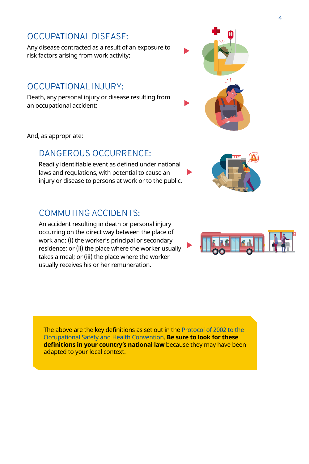# OCCUPATIONAL DISEASE:

Any disease contracted as a result of an exposure to risk factors arising from work activity;

### OCCUPATIONAL INJURY:

Death, any personal injury or disease resulting from an occupational accident;

And, as appropriate:

#### DANGEROUS OCCURRENCE:

Readily identifiable event as defined under national laws and regulations, with potential to cause an injury or disease to persons at work or to the public.

### COMMUTING ACCIDENTS:

An accident resulting in death or personal injury occurring on the direct way between the place of work and: (i) the worker's principal or secondary residence; or (ii) the place where the worker usually takes a meal; or (iii) the place where the worker usually receives his or her remuneration.

The above are the key definitions as set out in the [Protocol of 2002 to the](https://www.ilo.org/dyn/normlex/en/f?p=NORMLEXPUB:12100:0::NO::P12100_INSTRUMENT_ID:312338
)  [Occupational Safety and Health Convention](https://www.ilo.org/dyn/normlex/en/f?p=NORMLEXPUB:12100:0::NO::P12100_INSTRUMENT_ID:312338
). **Be sure to look for these definitions in your country's national law** because they may have been adapted to your local context.







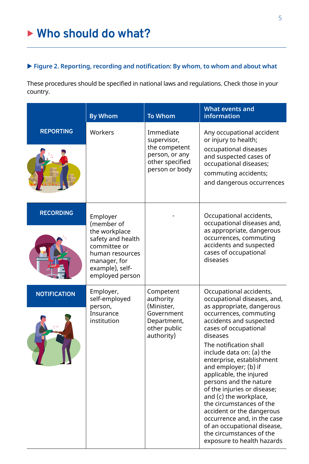#### ▶ Figure 2. Reporting, recording and notification: By whom, to whom and about what

These procedures should be specified in national laws and regulations. Check those in your country.

|                     | <b>By Whom</b>                                                                        | <b>To Whom</b>                                                                                   | <b>What events and</b><br><b>information</b>                                                                                                                                                                                                                                                                                                                                                           |
|---------------------|---------------------------------------------------------------------------------------|--------------------------------------------------------------------------------------------------|--------------------------------------------------------------------------------------------------------------------------------------------------------------------------------------------------------------------------------------------------------------------------------------------------------------------------------------------------------------------------------------------------------|
| <b>REPORTING</b>    | Workers                                                                               | Immediate<br>supervisor,<br>the competent<br>person, or any<br>other specified<br>person or body | Any occupational accident<br>or injury to health;<br>occupational diseases<br>and suspected cases of<br>occupational diseases;<br>commuting accidents;<br>and dangerous occurrences                                                                                                                                                                                                                    |
| <b>RECORDING</b>    | Employer<br>(member of<br>the workplace<br>safety and health                          |                                                                                                  | Occupational accidents,<br>occupational diseases and,<br>as appropriate, dangerous<br>occurrences, commuting                                                                                                                                                                                                                                                                                           |
|                     | committee or<br>human resources<br>manager, for<br>example), self-<br>employed person |                                                                                                  | accidents and suspected<br>cases of occupational<br>diseases                                                                                                                                                                                                                                                                                                                                           |
| <b>NOTIFICATION</b> | Employer,<br>self-employed<br>person,<br>Insurance<br>institution                     | Competent<br>authority<br>(Minister,<br>Government<br>Department,<br>other public<br>authority)  | Occupational accidents,<br>occupational diseases, and,<br>as appropriate, dangerous<br>occurrences, commuting<br>accidents and suspected<br>cases of occupational<br>diseases                                                                                                                                                                                                                          |
|                     |                                                                                       |                                                                                                  | The notification shall<br>include data on: (a) the<br>enterprise, establishment<br>and employer; (b) if<br>applicable, the injured<br>persons and the nature<br>of the injuries or disease;<br>and (c) the workplace,<br>the circumstances of the<br>accident or the dangerous<br>occurrence and, in the case<br>of an occupational disease,<br>the circumstances of the<br>exposure to health hazards |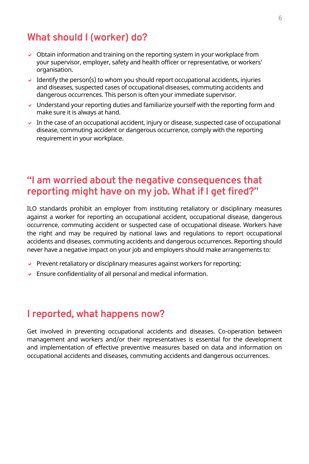# **What should I (worker) do?**

- $\vee$  Obtain information and training on the reporting system in your workplace from your supervisor, employer, safety and health officer or representative, or workers' organisation.
- $\vee$  Identify the person(s) to whom you should report occupational accidents, injuries and diseases, suspected cases of occupational diseases, commuting accidents and dangerous occurrences. This person is often your immediate supervisor.
- $\vee$  Understand your reporting duties and familiarize yourself with the reporting form and make sure it is always at hand.
- $\triangledown$  In the case of an occupational accident, injury or disease, suspected case of occupational disease, commuting accident or dangerous occurrence, comply with the reporting requirement in your workplace.

# **"I am worried about the negative consequences that reporting might have on my job. What if I get fired?"**

ILO standards prohibit an employer from instituting retaliatory or disciplinary measures against a worker for reporting an occupational accident, occupational disease, dangerous occurrence, commuting accident or suspected case of occupational disease. Workers have the right and may be required by national laws and regulations to report occupational accidents and diseases, commuting accidents and dangerous occurrences. Reporting should never have a negative impact on your job and employers should make arrangements to:

- $\triangledown$  Prevent retaliatory or disciplinary measures against workers for reporting;
- $\triangleright$  Ensure confidentiality of all personal and medical information.

# **I reported, what happens now?**

Get involved in preventing occupational accidents and diseases. Co-operation between management and workers and/or their representatives is essential for the development and implementation of effective preventive measures based on data and information on occupational accidents and diseases, commuting accidents and dangerous occurrences.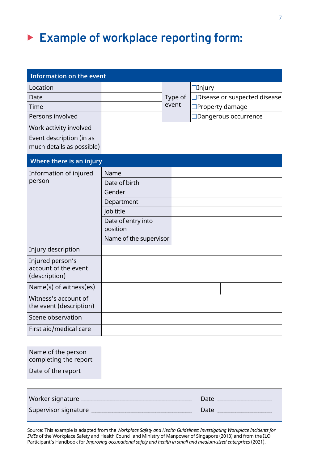# ▶ Example of workplace reporting form:

| <b>Information on the event</b>                           |                        |  |         |                               |  |  |  |
|-----------------------------------------------------------|------------------------|--|---------|-------------------------------|--|--|--|
| Location                                                  |                        |  |         | $\Box$ Injury                 |  |  |  |
| Date                                                      |                        |  | Type of | □Disease or suspected disease |  |  |  |
| Time                                                      |                        |  | event   | □Property damage              |  |  |  |
| Persons involved                                          |                        |  |         | □Dangerous occurrence         |  |  |  |
| Work activity involved                                    |                        |  |         |                               |  |  |  |
| Event description (in as<br>much details as possible)     |                        |  |         |                               |  |  |  |
| Where there is an injury                                  |                        |  |         |                               |  |  |  |
| Information of injured                                    | Name                   |  |         |                               |  |  |  |
| person                                                    | Date of birth          |  |         |                               |  |  |  |
|                                                           | Gender                 |  |         |                               |  |  |  |
|                                                           | Department             |  |         |                               |  |  |  |
|                                                           | Job title              |  |         |                               |  |  |  |
|                                                           | Date of entry into     |  |         |                               |  |  |  |
|                                                           | position               |  |         |                               |  |  |  |
|                                                           | Name of the supervisor |  |         |                               |  |  |  |
| Injury description                                        |                        |  |         |                               |  |  |  |
| Injured person's<br>account of the event<br>(description) |                        |  |         |                               |  |  |  |
| Name(s) of witness(es)                                    |                        |  |         |                               |  |  |  |
| Witness's account of<br>the event (description)           |                        |  |         |                               |  |  |  |
| Scene observation                                         |                        |  |         |                               |  |  |  |
| First aid/medical care                                    |                        |  |         |                               |  |  |  |
|                                                           |                        |  |         |                               |  |  |  |
| Name of the person<br>completing the report               |                        |  |         |                               |  |  |  |
| Date of the report                                        |                        |  |         |                               |  |  |  |
|                                                           |                        |  |         |                               |  |  |  |
| Worker signature                                          |                        |  |         | Date .                        |  |  |  |
| Supervisor signature                                      |                        |  |         | Date.                         |  |  |  |

Source: This example is adapted from the *Workplace Safety and Health Guidelines: Investigating Workplace Incidents for SMEs* of the Workplace Safety and Health Council and Ministry of Manpower of Singapore (2013) and from the ILO Participant's Handbook for *Improving occupational safety and health in small and medium-sized enterprises* (2021).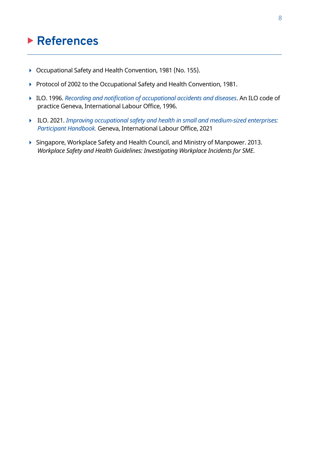# <sup>X</sup> **References**

- ▶ Occupational Safety and Health Convention, 1981 (No. 155).
- ▶ Protocol of 2002 to the Occupational Safety and Health Convention, 1981.
- 4 ILO. 1996. *[Recording and notification of occupational accidents and diseases](https://www.ilo.org/wcmsp5/groups/public/---ed_protect/---protrav/---safework/documents/normativeinstrument/wcms_107800.pdf)*. An ILO code of practice Geneva, International Labour Office, 1996.
- 4 ILO. 2021. *[Improving occupational safety and health in small and medium-sized enterprises:](https://www.ilo.org/wcmsp5/groups/public/---ed_dialogue/---lab_admin/documents/publication/wcms_792038.pdf)  [Participant Handbook.](https://www.ilo.org/wcmsp5/groups/public/---ed_dialogue/---lab_admin/documents/publication/wcms_792038.pdf)* Geneva, International Labour Office, 2021
- ▶ Singapore, Workplace Safety and Health Council, and Ministry of Manpower. 2013. *Workplace Safety and Health Guidelines: Investigating Workplace Incidents for SME*.